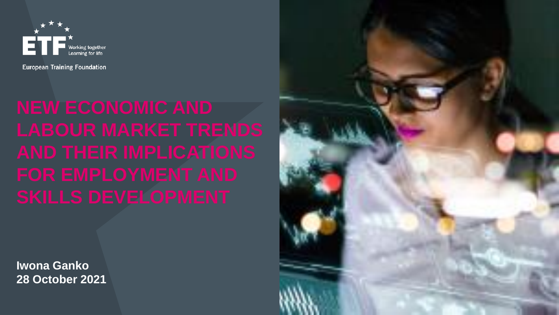

**European Training Foundation** 

**Iwona Ganko 28 October 2021**

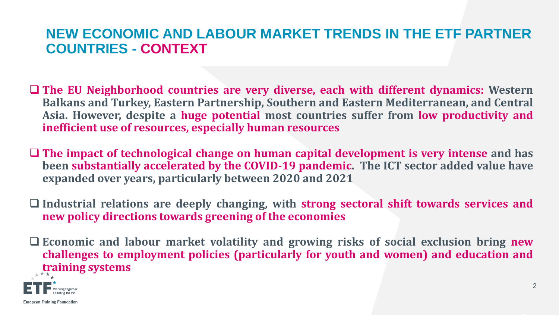#### **NEW ECONOMIC AND LABOUR MARKET TRENDS IN THE ETF PARTNER COUNTRIES - CONTEXT**

- ❑ **The EU Neighborhood countries are very diverse, each with different dynamics: Western Balkans and Turkey, Eastern Partnership, Southern and Eastern Mediterranean, and Central Asia. However, despite a huge potential most countries suffer from low productivity and inefficient use of resources, especially human resources**
- ❑ **The impact of technological change on human capital development is very intense and has been substantially accelerated by the COVID-19 pandemic. The ICT sector added value have expanded over years, particularly between 2020 and 2021**
- ❑ **Industrial relations are deeply changing, with strong sectoral shift towards services and new policy directions towards greening of the economies**
- ❑ **Economic and labour market volatility and growing risks of social exclusion bring new challenges to employment policies (particularly for youth and women) and education and training systems**

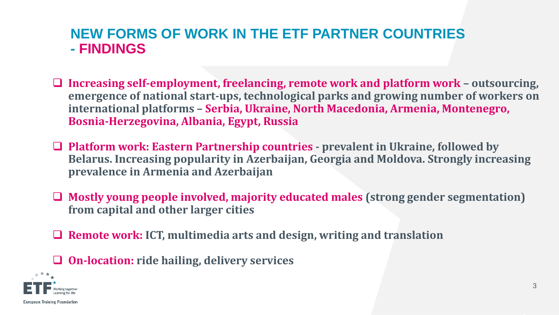#### **NEW FORMS OF WORK IN THE ETF PARTNER COUNTRIES - FINDINGS**

- ❑ **Increasing self-employment, freelancing, remote work and platform work – outsourcing, emergence of national start-ups, technological parks and growing number of workers on international platforms – Serbia, Ukraine, North Macedonia, Armenia, Montenegro, Bosnia-Herzegovina, Albania, Egypt, Russia**
- ❑ **Platform work: Eastern Partnership countries - prevalent in Ukraine, followed by Belarus. Increasing popularity in Azerbaijan, Georgia and Moldova. Strongly increasing prevalence in Armenia and Azerbaijan**
- ❑ **Mostly young people involved, majority educated males (strong gender segmentation) from capital and other larger cities**
- ❑ **Remote work: ICT, multimedia arts and design, writing and translation**
- ❑ **On-location: ride hailing, delivery services**

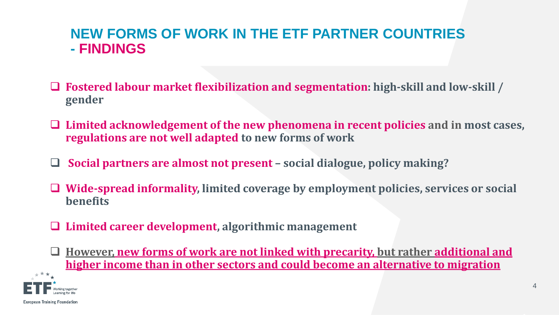### **NEW FORMS OF WORK IN THE ETF PARTNER COUNTRIES - FINDINGS**

- ❑ **Fostered labour market flexibilization and segmentation: high-skill and low-skill / gender**
- ❑ **Limited acknowledgement of the new phenomena in recent policies and in most cases, regulations are not well adapted to new forms of work**
- ❑ **Social partners are almost not present – social dialogue, policy making?**
- ❑ **Wide-spread informality, limited coverage by employment policies, services or social benefits**
- ❑ **Limited career development, algorithmic management**
- ❑ **However, new forms of work are not linked with precarity, but rather additional and higher income than in other sectors and could become an alternative to migration**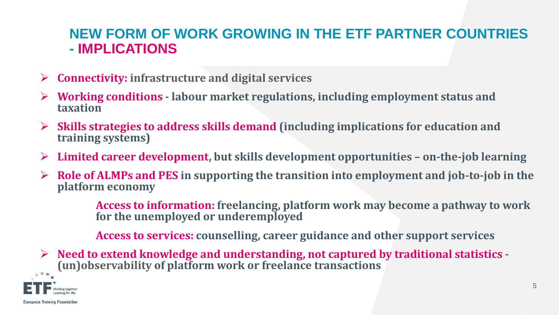# **NEW FORM OF WORK GROWING IN THE ETF PARTNER COUNTRIES - IMPLICATIONS**

- ➢ **Connectivity: infrastructure and digital services**
- ➢ **Working conditions - labour market regulations, including employment status and taxation**
- ➢ **Skills strategies to address skills demand (including implications for education and training systems)**
- ➢ **Limited career development, but skills development opportunities – on-the-job learning**
- ➢ **Role of ALMPs and PES in supporting the transition into employment and job-to-job in the platform economy**

**Access to information: freelancing, platform work may become a pathway to work for the unemployed or underemployed** 

**Access to services: counselling, career guidance and other support services**

➢ **Need to extend knowledge and understanding, not captured by traditional statistics - (un)observability of platform work or freelance transactions** 

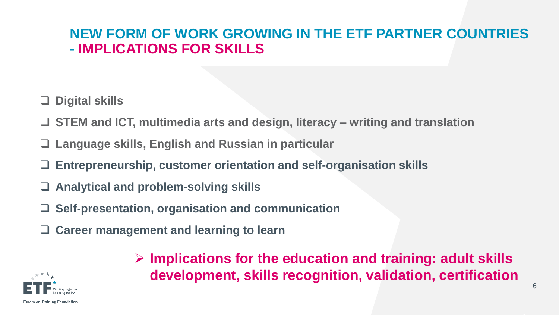# **NEW FORM OF WORK GROWING IN THE ETF PARTNER COUNTRIES - IMPLICATIONS FOR SKILLS**

- ❑ **Digital skills**
- ❑ **STEM and ICT, multimedia arts and design, literacy – writing and translation**
- ❑ **Language skills, English and Russian in particular**
- ❑ **Entrepreneurship, customer orientation and self-organisation skills**
- ❑ **Analytical and problem-solving skills**
- ❑ **Self-presentation, organisation and communication**
- ❑ **Career management and learning to learn**



➢ **Implications for the education and training: adult skills development, skills recognition, validation, certification**

6